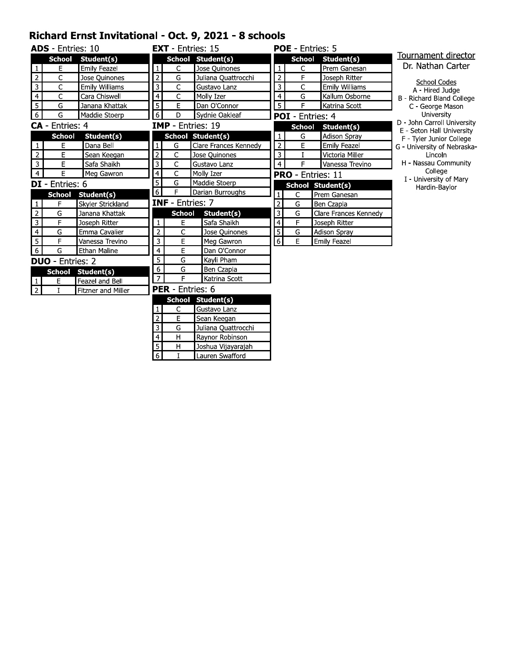### Richard Ernst Invitational - Oct. 9, 2021 - 8 schools

|                | <b>ADS</b> - Entries: 10 |                       |                         | <b>EXT</b> - Entries: 15  |                          |                | <b>POE</b> - Entries: 5 |                          |                                                       |
|----------------|--------------------------|-----------------------|-------------------------|---------------------------|--------------------------|----------------|-------------------------|--------------------------|-------------------------------------------------------|
|                | <b>School</b>            | Student(s)            |                         |                           | School Student(s)        |                | <b>School</b>           | Student(s)               | Tournament director                                   |
| 1              | E                        | Emily Feazel          | $\mathbf{1}$            | C                         | Jose Quinones            | 1              | C                       | Prem Ganesan             | Dr. Nathan Carter                                     |
| $\mathbf 2$    | C                        | Jose Quinones         | $\mathbf 2$             | G                         | Juliana Quattrocchi      | $\overline{2}$ | F                       | Joseph Ritter            |                                                       |
| 3              | C                        | <b>Emily Williams</b> | 3                       | C                         | Gustavo Lanz             | 3              | C                       | Emily Williams           | School Codes<br>A - Hired Judge                       |
| $\overline{4}$ | C                        | Cara Chiswell         | 4                       | C                         | Molly Izer               | $\overline{4}$ | G                       | Kallum Osborne           | B - Richard Bland College                             |
| $\overline{5}$ | G                        | Janana Khattak        | 5                       | E                         | Dan O'Connor             | $\overline{5}$ | F                       | Katrina Scott            | C - George Mason                                      |
| $\overline{6}$ | G                        | Maddie Stoerp         | 6                       | D                         | Sydnie Oakleaf           |                | <b>POI</b> - Entries: 4 |                          | University                                            |
|                | CA - Entries: 4          |                       |                         | <b>IMP</b> - Entries: 19  |                          |                | <b>School</b>           | Student(s)               | D - John Carroll University                           |
|                | <b>School</b>            | Student(s)            |                         |                           | <b>School Student(s)</b> | $\mathbf{1}$   | $\mathsf G$             | <b>Adison Spray</b>      | E - Seton Hall University<br>F - Tyler Junior College |
| 1              | E                        | Dana Bell             | $\mathbf{1}$            | G                         | Clare Frances Kennedy    | $\overline{2}$ | E                       | <b>Emily Feazel</b>      | G - University of Nebraska-                           |
| $\overline{2}$ | E                        | Sean Keegan           | $\overline{2}$          | C                         | Jose Quinones            | 3              | $\mathbf{I}$            | Victoria Miller          | Lincoln                                               |
| $\mathbf{3}$   | E                        | Safa Shaikh           | $\overline{\mathbf{3}}$ | C                         | Gustavo Lanz             | $\overline{4}$ | F                       | Vanessa Trevino          | H - Nassau Community                                  |
| $\overline{4}$ | E                        | Meg Gawron            | $\overline{4}$          | $\overline{\mathsf{c}}$   | Molly Izer               |                |                         | <b>PRO</b> - Entries: 11 | College                                               |
|                | <b>DI</b> - Entries: 6   |                       | $\overline{5}$          | G                         | Maddie Stoerp            |                |                         | School Student(s)        | I - University of Mary<br>Hardin-Baylor               |
|                | <b>School</b>            | Student(s)            | $\overline{6}$          | F                         | Darian Burroughs         | 1              | $\mathsf{C}$            | Prem Ganesan             |                                                       |
| $\mathbf{1}$   | F                        | Skyler Strickland     |                         | <b>INF</b> - Entries: 7   |                          | 2              | G                       | Ben Czapla               |                                                       |
| $\overline{2}$ | G                        | Janana Khattak        |                         | <b>School</b>             | Student(s)               | $\overline{3}$ | G                       | Clare Frances Kennedy    |                                                       |
| $\overline{3}$ | F                        | Joseph Ritter         | $\mathbf{1}$            | E                         | Safa Shaikh              | $\overline{4}$ | F                       | Joseph Ritter            |                                                       |
| $\overline{4}$ | G                        | Emma Cavalier         | $\overline{2}$          | C                         | Jose Quinones            | $\overline{5}$ | G                       | Adison Spray             |                                                       |
| 5              | E                        | Vanessa Trevino       | 3                       | E                         | Meg Gawron               | $6 \mid$       | E                       | Emily Feazel             |                                                       |
| 6              | G                        | Ethan Maline          | 4                       | E                         | Dan O'Connor             |                |                         |                          |                                                       |
|                | <b>DUO</b> - Entries: 2  |                       | 5                       | G                         | Kayli Pham               |                |                         |                          |                                                       |
|                |                          | School Student(s)     | 6                       | G                         | Ben Czapla               |                |                         |                          |                                                       |
| $\mathbf{1}$   | Ε                        | Feazel and Bell       | $\overline{7}$          | F                         | Katrina Scott            |                |                         |                          |                                                       |
| $\overline{2}$ | T                        | Fitzner and Miller    |                         | <b>PER</b> - Entries: 6   |                          |                |                         |                          |                                                       |
|                |                          |                       |                         | <b>School</b>             | Student(s)               |                |                         |                          |                                                       |
|                |                          |                       |                         | C                         | Gustavo Lanz             |                |                         |                          |                                                       |
|                |                          |                       | $\overline{\mathbf{c}}$ | E                         | Sean Keegan              |                |                         |                          |                                                       |
|                |                          |                       | 3                       | G                         | Juliana Quattrocchi      |                |                         |                          |                                                       |
|                |                          |                       | 4                       | H                         | Raynor Robinson          |                |                         |                          |                                                       |
|                |                          |                       | $\overline{5}$          | $\boldsymbol{\mathsf{H}}$ | Joshua Vijayarajah       |                |                         |                          |                                                       |
|                |                          |                       | $\overline{6}$          | $\mathbf I$               | Lauren Swafford          |                |                         |                          |                                                       |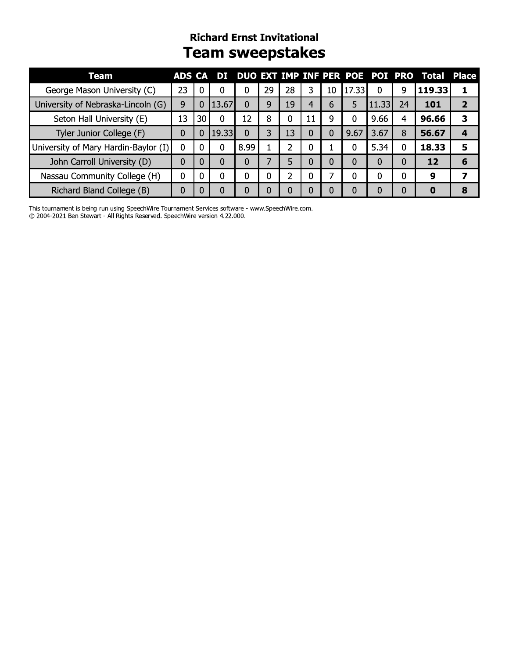## **Richard Ernst Invitational Team sweepstakes**

| <b>Team</b>                          | ADS CA |          | ÐП    |          |    |    |          |                |          | DUO EXT IMP INF PER POE POI PRO |          | Total Place |   |
|--------------------------------------|--------|----------|-------|----------|----|----|----------|----------------|----------|---------------------------------|----------|-------------|---|
| George Mason University (C)          | 23     | - 0      | 0     | 0        | 29 | 28 | 3        | 10             | 17.33    | 0                               | 9        | 119.33      |   |
| University of Nebraska-Lincoln (G)   | 9      | 0        | 13.67 | 0        | 9  | 19 | 4        | 6              | 5        | 11.33                           | 24       | 101         |   |
| Seton Hall University (E)            | 13     | 30       | 0     | 12       | 8  |    | -11      | 9              | 0        | 9.66                            | 4        | 96.66       | 3 |
| Tyler Junior College (F)             | 0      | 0        | 19.33 | $\Omega$ | 3  | 13 | 0        | 0              | 9.67     | 3.67                            | 8        | 56.67       | 4 |
| University of Mary Hardin-Baylor (I) | 0      | 0        | 0     | 8.99     |    |    | 0        |                | 0        | 5.34                            | $\Omega$ | 18.33       | 5 |
| John Carroll University (D)          | 0      | $\Omega$ | 0     | $\Omega$ |    | 5  | $\Omega$ | $\overline{0}$ | $\Omega$ | 0                               | 0        | 12          | 6 |
| Nassau Community College (H)         | 0      | $\Omega$ | 0     | 0        | 0  |    |          |                | 0        | 0                               | 0        | 9           |   |
| Richard Bland College (B)            | 0      |          | 0     | 0        |    |    |          | 0              | 0        | 0                               | 0        |             | 8 |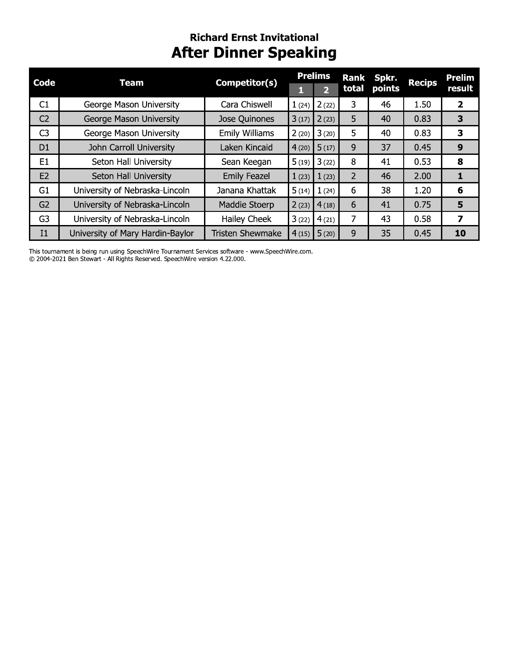## **Richard Ernst Invitational After Dinner Speaking**

|                |                                  |                         |       | <b>Prelims</b>          | <b>Rank</b>    | Spkr.  |               | <b>Prelim</b>  |
|----------------|----------------------------------|-------------------------|-------|-------------------------|----------------|--------|---------------|----------------|
| <b>Code</b>    | <b>Team</b>                      | Competitor(s)           |       | $\overline{\mathbf{2}}$ | total          | points | <b>Recips</b> | result         |
| C1             | George Mason University          | Cara Chiswell           | 1(24) | 2(22)                   | 3              | 46     | 1.50          | $\overline{2}$ |
| C <sub>2</sub> | George Mason University          | Jose Quinones           | 3(17) | 2(23)                   | 5              | 40     | 0.83          | 3              |
| C <sub>3</sub> | George Mason University          | <b>Emily Williams</b>   | 2(20) | 3(20)                   | 5              | 40     | 0.83          | 3              |
| D <sub>1</sub> | John Carroll University          | Laken Kincaid           | 4(20) | 5(17)                   | 9              | 37     | 0.45          | 9              |
| E <sub>1</sub> | Seton Hall University            | Sean Keegan             | 5(19) | 3(22)                   | 8              | 41     | 0.53          | 8              |
| E2             | Seton Hall University            | <b>Emily Feazel</b>     | 1(23) | 1(23)                   | $\overline{2}$ | 46     | 2.00          | 1              |
| G <sub>1</sub> | University of Nebraska-Lincoln   | Janana Khattak          | 5(14) | 1(24)                   | 6              | 38     | 1.20          | 6              |
| G <sub>2</sub> | University of Nebraska-Lincoln   | Maddie Stoerp           | 2(23) | 4(18)                   | 6              | 41     | 0.75          | 5              |
| G <sub>3</sub> | University of Nebraska-Lincoln   | Hailey Cheek            | 3(22) | 4(21)                   | 7              | 43     | 0.58          | 7              |
| I <sub>1</sub> | University of Mary Hardin-Baylor | <b>Tristen Shewmake</b> |       | $4(15)$ 5 (20)          | 9              | 35     | 0.45          | 10             |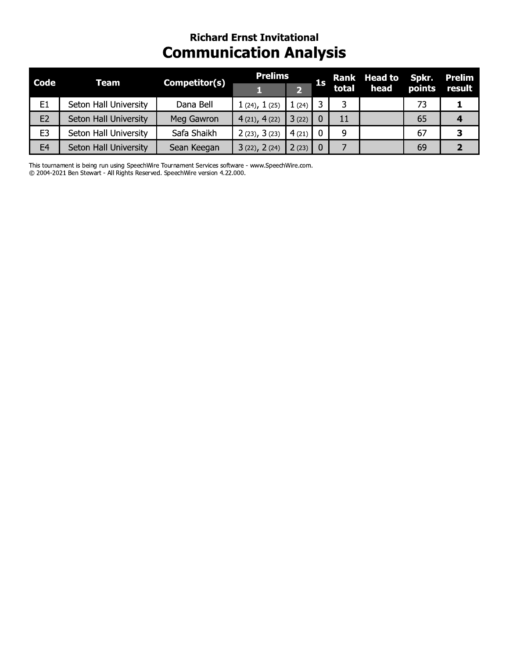## **Richard Ernst Invitational Communication Analysis**

| <b>Code</b>    | <b>Team</b>           | Competitor(s) | <b>Prelims</b> |       | 1 <sub>s</sub> |       | Rank Head to Spkr. |        | Prelim |
|----------------|-----------------------|---------------|----------------|-------|----------------|-------|--------------------|--------|--------|
|                |                       |               |                |       |                | total | head               | points | result |
| E1             | Seton Hall University | Dana Bell     | 1(24), 1(25)   | 1(24) |                | 3     |                    | 73.    |        |
| E <sub>2</sub> | Seton Hall University | Meg Gawron    | 4(21), 4(22)   | 3(22) |                | 11    |                    | 65     |        |
| E <sub>3</sub> | Seton Hall University | Safa Shaikh   | 2(23), 3(23)   | 4(21) |                | 9     |                    | 67     | З      |
| E <sub>4</sub> | Seton Hall University | Sean Keegan   | 3(22), 2(24)   | 2(23) |                |       |                    | 69     |        |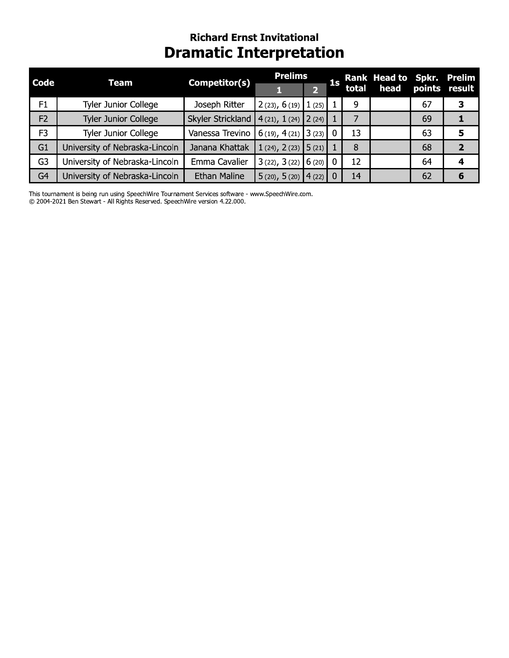## **Richard Ernst Invitational Dramatic Interpretation**

| <b>Code</b><br><b>Team</b> |                                | Competitor(s)       | <b>Prelims</b>                  |                | <b>1s</b> |    | Rank Head to Spkr. Prelim<br>total head points result |    |   |
|----------------------------|--------------------------------|---------------------|---------------------------------|----------------|-----------|----|-------------------------------------------------------|----|---|
|                            |                                |                     |                                 | 2 <sup>1</sup> |           |    |                                                       |    |   |
| F1                         | Tyler Junior College           | Joseph Ritter       | $2(23), 6(19)$ 1(25)            |                |           | 9  |                                                       | 67 |   |
| F2                         | Tyler Junior College           | Skyler Strickland   | $4(21), 1(24)$ $2(24)$          |                |           |    |                                                       | 69 |   |
| F <sub>3</sub>             | Tyler Junior College           | Vanessa Trevino     | 6 (19), 4 (21) 3 (23) 0         |                |           | 13 |                                                       | 63 | 5 |
| G1                         | University of Nebraska-Lincoln | Janana Khattak      | 1 (24), 2 (23) $\vert 5$ (21) 1 |                |           | 8  |                                                       | 68 | י |
| G3                         | University of Nebraska-Lincoln | Emma Cavalier       | $3(22), 3(22)$ 6 (20) 0         |                |           | 12 |                                                       | 64 | 4 |
| G <sub>4</sub>             | University of Nebraska-Lincoln | <b>Ethan Maline</b> | $5(20), 5(20)$ 4 (22) 0         |                |           | 14 |                                                       | 62 | 6 |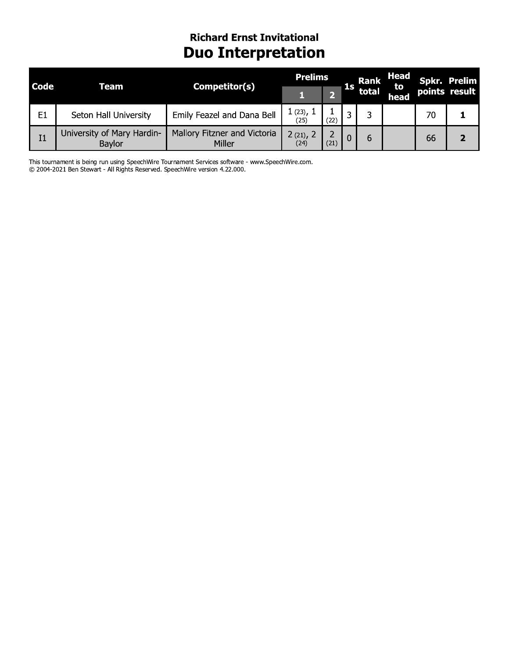## **Richard Ernst Invitational Duo Interpretation**

| <b>Code</b>    | Team                                 | Competitor(s)                          | <b>Prelims</b>               |      | Rank | Head  |            | Spkr. Prelim |               |
|----------------|--------------------------------------|----------------------------------------|------------------------------|------|------|-------|------------|--------------|---------------|
|                |                                      |                                        |                              |      | ıs   | total | to<br>head |              | points result |
| E <sub>1</sub> | Seton Hall University                | Emily Feazel and Dana Bell             | $1(23)$ , $^{\circ}$<br>(25) | (22) |      |       |            | 70           |               |
| I1             | University of Mary Hardin-<br>Baylor | Mallory Fitzner and Victoria<br>Miller | $2(21)$ , 2<br>(24)          | (21) |      | 6     |            | 66           |               |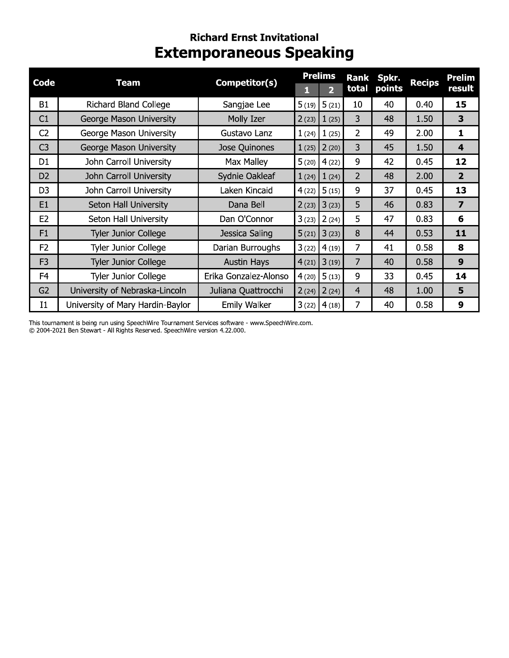## **Richard Ernst Invitational Extemporaneous Speaking**

| <b>Code</b>    | <b>Team</b>                      | Competitor(s)         |       | <b>Prelims</b> | Rank           | Spkr.  | <b>Recips</b> | <b>Prelim</b>           |
|----------------|----------------------------------|-----------------------|-------|----------------|----------------|--------|---------------|-------------------------|
|                |                                  |                       | П     | $\overline{2}$ | total          | points |               | result                  |
| <b>B1</b>      | <b>Richard Bland College</b>     | Sangjae Lee           | 5(19) | 5(21)          | 10             | 40     | 0.40          | 15                      |
| C1             | George Mason University          | Molly Izer            | 2(23) | 1(25)          | 3              | 48     | 1.50          | 3                       |
| C <sub>2</sub> | George Mason University          | Gustavo Lanz          | 1(24) | 1(25)          | 2              | 49     | 2.00          | 1                       |
| C <sub>3</sub> | George Mason University          | Jose Quinones         | 1(25) | 2(20)          | 3              | 45     | 1.50          | $\overline{\mathbf{4}}$ |
| D <sub>1</sub> | John Carroll University          | Max Malley            | 5(20) | 4(22)          | 9              | 42     | 0.45          | 12                      |
| D <sub>2</sub> | John Carroll University          | Sydnie Oakleaf        | 1(24) | 1(24)          | $\overline{2}$ | 48     | 2.00          | $\overline{2}$          |
| D <sub>3</sub> | John Carroll University          | Laken Kincaid         | 4(22) | 5(15)          | 9              | 37     | 0.45          | 13                      |
| E1             | Seton Hall University            | Dana Bell             | 2(23) | 3(23)          | 5              | 46     | 0.83          | $\overline{\mathbf{z}}$ |
| E <sub>2</sub> | Seton Hall University            | Dan O'Connor          | 3(23) | 2(24)          | 5              | 47     | 0.83          | 6                       |
| F1             | <b>Tyler Junior College</b>      | Jessica Saling        | 5(21) | 3(23)          | 8              | 44     | 0.53          | 11                      |
| F <sub>2</sub> | <b>Tyler Junior College</b>      | Darian Burroughs      | 3(22) | 4(19)          | 7              | 41     | 0.58          | 8                       |
| F <sub>3</sub> | <b>Tyler Junior College</b>      | <b>Austin Hays</b>    | 4(21) | 3(19)          | 7              | 40     | 0.58          | 9                       |
| F <sub>4</sub> | <b>Tyler Junior College</b>      | Erika Gonzalez-Alonso | 4(20) | 5(13)          | 9              | 33     | 0.45          | 14                      |
| G <sub>2</sub> | University of Nebraska-Lincoln   | Juliana Quattrocchi   | 2(24) | 2(24)          | $\overline{4}$ | 48     | 1.00          | 5                       |
| $_{11}$        | University of Mary Hardin-Baylor | <b>Emily Walker</b>   | 3(22) | 4(18)          | 7              | 40     | 0.58          | 9                       |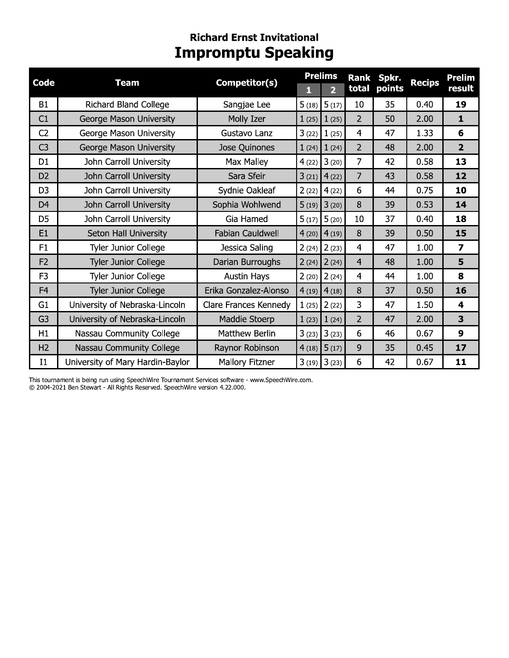## **Richard Ernst Invitational Impromptu Speaking**

|                |                                  |                       |       | <b>Prelims</b>          | <b>Rank</b>    | Spkr.  |               | <b>Prelim</b>           |
|----------------|----------------------------------|-----------------------|-------|-------------------------|----------------|--------|---------------|-------------------------|
| <b>Code</b>    | <b>Team</b>                      | Competitor(s)         | П     | $\overline{\mathbf{2}}$ | total          | points | <b>Recips</b> | result                  |
| B1             | <b>Richard Bland College</b>     | Sangjae Lee           | 5(18) | 5(17)                   | 10             | 35     | 0.40          | 19                      |
| C1             | George Mason University          | Molly Izer            | 1(25) | 1(25)                   | $\overline{2}$ | 50     | 2.00          | $\mathbf{1}$            |
| C <sub>2</sub> | George Mason University          | Gustavo Lanz          | 3(22) | 1(25)                   | $\overline{4}$ | 47     | 1.33          | 6                       |
| C <sub>3</sub> | George Mason University          | Jose Quinones         |       | $1(24)$ $1(24)$         | $\overline{2}$ | 48     | 2.00          | $\overline{2}$          |
| D <sub>1</sub> | John Carroll University          | Max Malley            | 4(22) | 3(20)                   | $\overline{7}$ | 42     | 0.58          | 13                      |
| D <sub>2</sub> | John Carroll University          | Sara Sfeir            | 3(21) | 4(22)                   | $\overline{7}$ | 43     | 0.58          | 12                      |
| D <sub>3</sub> | John Carroll University          | Sydnie Oakleaf        | 2(22) | 4(22)                   | 6              | 44     | 0.75          | 10                      |
| D <sub>4</sub> | John Carroll University          | Sophia Wohlwend       | 5(19) | 3(20)                   | 8              | 39     | 0.53          | 14                      |
| D <sub>5</sub> | John Carroll University          | Gia Hamed             | 5(17) | 5(20)                   | 10             | 37     | 0.40          | 18                      |
| E1             | Seton Hall University            | Fabian Cauldwell      | 4(20) | 4(19)                   | 8              | 39     | 0.50          | 15                      |
| F1             | <b>Tyler Junior College</b>      | Jessica Saling        | 2(24) | 2(23)                   | $\overline{4}$ | 47     | 1.00          | $\overline{\mathbf{z}}$ |
| F <sub>2</sub> | <b>Tyler Junior College</b>      | Darian Burroughs      | 2(24) | 2(24)                   | $\overline{4}$ | 48     | 1.00          | 5                       |
| F <sub>3</sub> | <b>Tyler Junior College</b>      | Austin Hays           | 2(20) | 2(24)                   | $\overline{4}$ | 44     | 1.00          | 8                       |
| F4             | <b>Tyler Junior College</b>      | Erika Gonzalez-Alonso | 4(19) | 4(18)                   | 8              | 37     | 0.50          | 16                      |
| G <sub>1</sub> | University of Nebraska-Lincoln   | Clare Frances Kennedy | 1(25) | 2(22)                   | 3              | 47     | 1.50          | 4                       |
| G <sub>3</sub> | University of Nebraska-Lincoln   | Maddie Stoerp         | 1(23) | 1(24)                   | $\overline{2}$ | 47     | 2.00          | 3                       |
| H1             | Nassau Community College         | Matthew Berlin        | 3(23) | 3(23)                   | 6              | 46     | 0.67          | 9                       |
| H <sub>2</sub> | Nassau Community College         | Raynor Robinson       | 4(18) | 5(17)                   | 9              | 35     | 0.45          | 17                      |
| $_{\rm II}$    | University of Mary Hardin-Baylor | Mallory Fitzner       |       | $3(19)$ $3(23)$         | 6              | 42     | 0.67          | 11                      |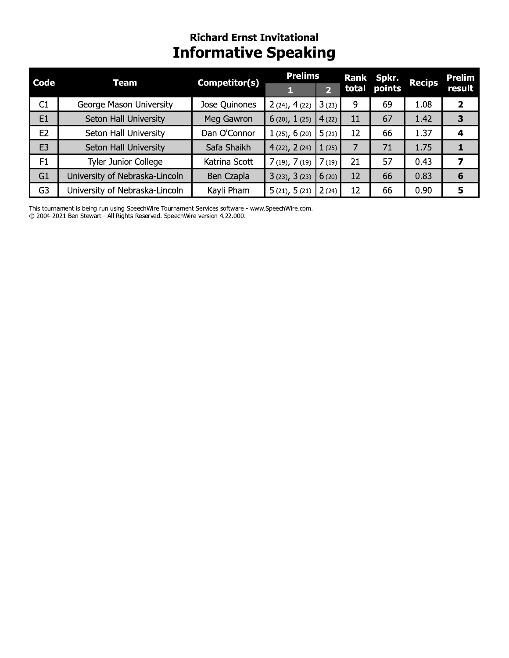## **Richard Ernst Invitational Informative Speaking**

| <b>Code</b>    | <b>Team</b>                    | Competitor(s) | <b>Prelims</b>    |                |    | Rank Spkr.   | <b>Recips</b> | <b>Prelim</b> |
|----------------|--------------------------------|---------------|-------------------|----------------|----|--------------|---------------|---------------|
|                |                                |               |                   | $\overline{2}$ |    | total points |               | result        |
| C1             | George Mason University        | Jose Quinones | 2(24), 4(22)      | 3(23)          | 9  | 69           | 1.08          | $\mathbf{2}$  |
| E1             | Seton Hall University          | Meg Gawron    | 6(20), 1(25)      | 4(22)          | 11 | 67           | 1.42          | 3             |
| E2             | Seton Hall University          | Dan O'Connor  | 1(25), 6(20)      | 5(21)          | 12 | 66           | 1.37          | 4             |
| E <sub>3</sub> | Seton Hall University          | Safa Shaikh   | 4(22), 2(24)      | (25)           | 7  | 71           | 1.75          |               |
| F1             | Tyler Junior College           | Katrina Scott | $7(19)$ , $7(19)$ | (19)           | 21 | 57           | 0.43          | 7             |
| G1             | University of Nebraska-Lincoln | Ben Czapla    | 3(23), 3(23)      | 6(20)          | 12 | 66           | 0.83          | 6             |
| G <sub>3</sub> | University of Nebraska-Lincoln | Kayli Pham    | 5(21), 5(21)      | 2(24)          | 12 | 66           | 0.90          | 5             |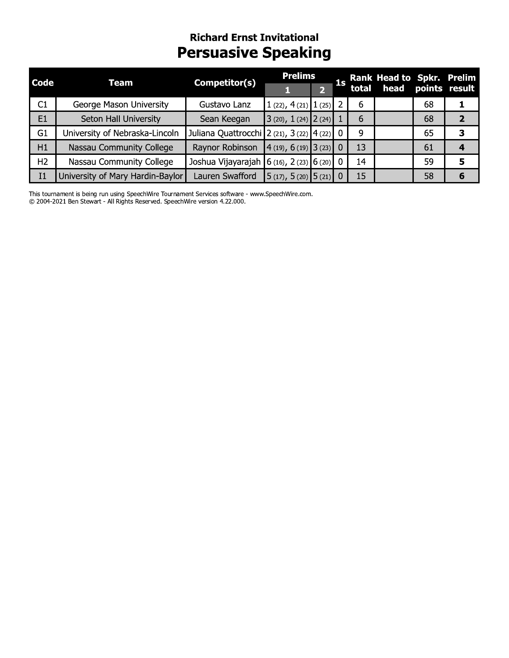## **Richard Ernst Invitational Persuasive Speaking**

| <b>Code</b>    | <b>Team</b>                      | Competitor(s)                               | <b>Prelims</b>                                          |                |    | 1s Rank Head to Spkr. Prelim<br>1s total head points result |    |              |
|----------------|----------------------------------|---------------------------------------------|---------------------------------------------------------|----------------|----|-------------------------------------------------------------|----|--------------|
|                |                                  |                                             |                                                         | $\overline{2}$ |    |                                                             |    |              |
| C1             | George Mason University          | Gustavo Lanz                                | $1(22), 4(21)$ $1(25)$ 2                                |                | 6  |                                                             | 68 |              |
| E1             | Seton Hall University            | Sean Keegan                                 | $3(20), 1(24)$ $2(24)$                                  |                | 6  |                                                             | 68 | $\mathbf{z}$ |
| G1             | University of Nebraska-Lincoln   | Juliana Quattrocchi 2 (21), 3 (22) 4 (22) 0 |                                                         |                | 9  |                                                             | 65 | 3            |
| H1             | Nassau Community College         | Raynor Robinson $(4(19), 6(19)$ 3 (23) 0    |                                                         |                | 13 |                                                             | 61 | 4            |
| H <sub>2</sub> | Nassau Community College         | Joshua Vijayarajah 6 (16), 2 (23) 6 (20) 0  |                                                         |                | 14 |                                                             | 59 | 5            |
| I <sub>1</sub> | University of Mary Hardin-Baylor | Lauren Swafford                             | $\left  \frac{5(17)}{2}, \frac{5(20)}{5(21)} \right $ 0 |                | 15 |                                                             | 58 | 6            |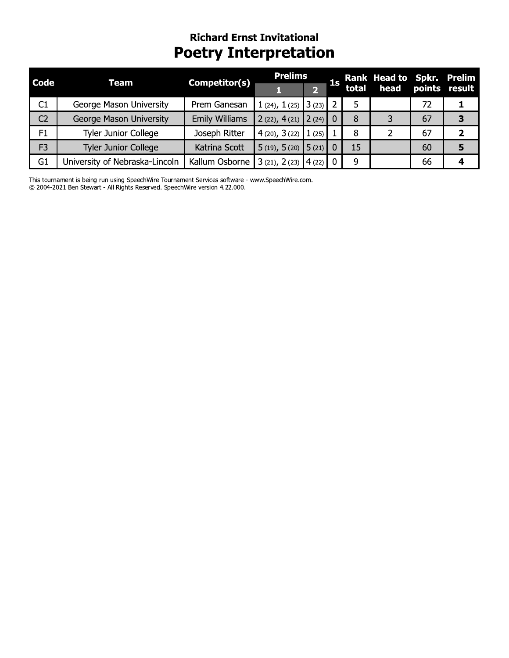## **Richard Ernst Invitational Poetry Interpretation**

| <b>Code</b>    | <b>Team</b>                    | Competitor(s)         | <b>Prelims</b>           |  | 1s |    | Rank Head to Spkr. Prelim |    |   |
|----------------|--------------------------------|-----------------------|--------------------------|--|----|----|---------------------------|----|---|
|                |                                |                       |                          |  |    |    | total head points result  |    |   |
| C1             | George Mason University        | Prem Ganesan          | $1(24), 1(25)$ 3(23)     |  |    |    |                           | 72 |   |
| C <sub>2</sub> | George Mason University        | <b>Emily Williams</b> | $2(22), 4(21)$ $2(24)$   |  |    | 8  |                           | 67 | 3 |
| F1             | <b>Tyler Junior College</b>    | Joseph Ritter         | $4(20), 3(22)$ $1(25)$   |  |    | 8  |                           | 67 |   |
| F <sub>3</sub> | <b>Tyler Junior College</b>    | Katrina Scott         | $5(19), 5(20)$ $5(21)$ 0 |  |    | 15 |                           | 60 |   |
| G1             | University of Nebraska-Lincoln | Kallum Osborne        | $3(21), 2(23)$ $4(22)$   |  |    | 9  |                           | 66 |   |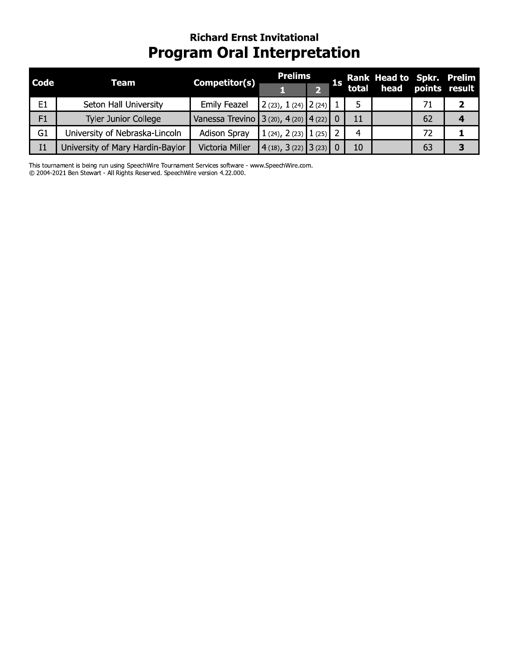## **Richard Ernst Invitational Program Oral Interpretation**

| <b>Code</b>    | Team                             | Competitor(s)                              | <b>Prelims</b>                                              |  |    | 1s Rank Head to Spkr. Prelim<br>1s total head points result |    |  |
|----------------|----------------------------------|--------------------------------------------|-------------------------------------------------------------|--|----|-------------------------------------------------------------|----|--|
|                |                                  |                                            |                                                             |  |    |                                                             |    |  |
| E1             | Seton Hall University            | <b>Emily Feazel</b>                        | $\vert$ 2 (23), 1 (24) $\vert$ 2 (24)                       |  |    |                                                             | 71 |  |
| F1             | <b>Tyler Junior College</b>      | Vanessa Trevino 3 (20), 4 (20) $ 4(22) $ 0 |                                                             |  | 11 |                                                             | 62 |  |
| G <sub>1</sub> | University of Nebraska-Lincoln   | <b>Adison Spray</b>                        | 1 (24), 2 (23) 1 (25) 2                                     |  | 4  |                                                             | 72 |  |
| I <sub>1</sub> | University of Mary Hardin-Baylor | Victoria Miller                            | $\vert 4 \vert (18), 3 \vert (22) \vert 3 \vert (23) \vert$ |  | 10 |                                                             | 63 |  |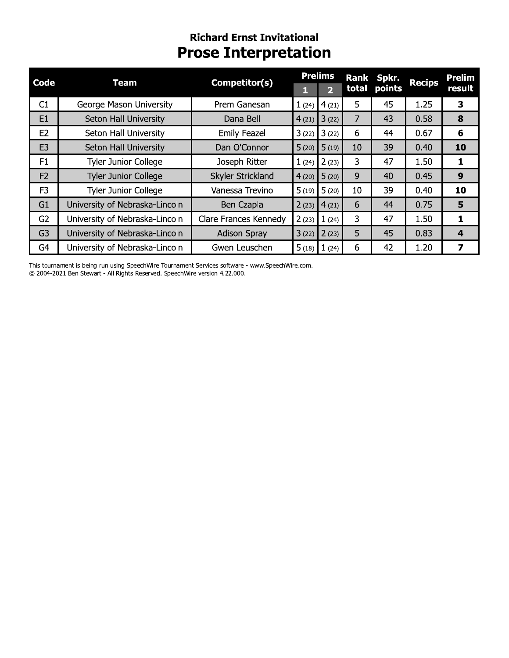## **Richard Ernst Invitational Prose Interpretation**

| <b>Code</b>    |                                |                       | <b>Prelims</b> |              |                | Rank Spkr. |               | <b>Prelim</b> |  |
|----------------|--------------------------------|-----------------------|----------------|--------------|----------------|------------|---------------|---------------|--|
|                | <b>Team</b>                    | Competitor(s)         |                | $\mathbf{p}$ | total          | points     | <b>Recips</b> | result        |  |
| C1             | George Mason University        | Prem Ganesan          | 1(24)          | 4(21)        | 5              | 45         | 1.25          | 3             |  |
| E <sub>1</sub> | Seton Hall University          | Dana Bell             | 4(21)          | 3(22)        | $\overline{7}$ | 43         | 0.58          | 8             |  |
| E <sub>2</sub> | Seton Hall University          | <b>Emily Feazel</b>   | 3(22)          | 3(22)        | 6              | 44         | 0.67          | 6             |  |
| E <sub>3</sub> | Seton Hall University          | Dan O'Connor          | 5(20)          | 5(19)        | 10             | 39         | 0.40          | 10            |  |
| F1             | Tyler Junior College           | Joseph Ritter         | 1(24)          | 2(23)        | 3              | 47         | 1.50          | 1             |  |
| F2             | <b>Tyler Junior College</b>    | Skyler Strickland     | 4(20)          | 5(20)        | 9              | 40         | 0.45          | 9             |  |
| F <sub>3</sub> | Tyler Junior College           | Vanessa Trevino       | 5(19)          | 5(20)        | 10             | 39         | 0.40          | 10            |  |
| G1             | University of Nebraska-Lincoln | Ben Czapla            | 2(23)          | 4(21)        | 6              | 44         | 0.75          | 5             |  |
| G <sub>2</sub> | University of Nebraska-Lincoln | Clare Frances Kennedy | 2(23)          | 1(24)        | 3              | 47         | 1.50          | 1             |  |
| G <sub>3</sub> | University of Nebraska-Lincoln | <b>Adison Spray</b>   | 3(22)          | 2(23)        | 5              | 45         | 0.83          | 4             |  |
| G4             | University of Nebraska-Lincoln | Gwen Leuschen         | 5(18)          | 1(24)        | 6              | 42         | 1.20          | 7             |  |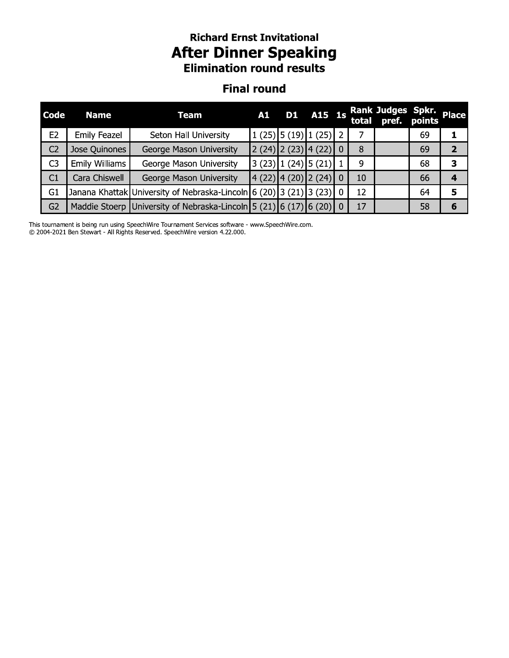# **Richard Ernst Invitational After Dinner Speaking**<br>**Elimination round results**

#### **Final round**

| <b>Code</b>    | <b>Name</b>    | Team                                                                 |  | A1 D1 A15 1s                                                                                   |    | Rank Judges Spkr.<br>total pref. points |    | <b>Place</b> |
|----------------|----------------|----------------------------------------------------------------------|--|------------------------------------------------------------------------------------------------|----|-----------------------------------------|----|--------------|
| E <sub>2</sub> | Emily Feazel   | Seton Hall University                                                |  | $\left  \frac{1(25)}{5(19)} \right  \left  \frac{1(25)}{2} \right $                            |    |                                         | 69 |              |
| C <sub>2</sub> | Jose Quinones  | George Mason University                                              |  | $\left[2(24)\right]2(23)\left[4(22)\right]0$                                                   | 8  |                                         | 69 |              |
| C <sub>3</sub> | Emily Williams | George Mason University                                              |  | $\left 3\right\rangle(23)\left 1\right\rangle(24)\left 5\right\rangle(21)\left 1\right\rangle$ | 9  |                                         | 68 |              |
| C1             | Cara Chiswell  | George Mason University                                              |  | (4(22) 4(20) 2(24) 0                                                                           | 10 |                                         | 66 |              |
| G <sub>1</sub> |                | Janana Khattak University of Nebraska-Lincoln 6 (20) 3 (21) 3 (23) 0 |  |                                                                                                | 12 |                                         | 64 | 5            |
| G <sub>2</sub> |                | Maddie Stoerp University of Nebraska-Lincoln 5 (21) 6 (17) 6 (20) 0  |  |                                                                                                | 17 |                                         | 58 |              |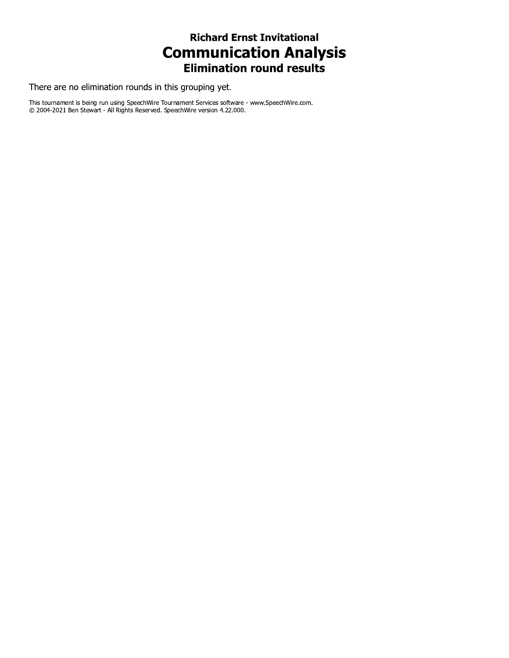#### **Richard Ernst Invitational Communication Analysis Elimination round results**

There are no elimination rounds in this grouping yet.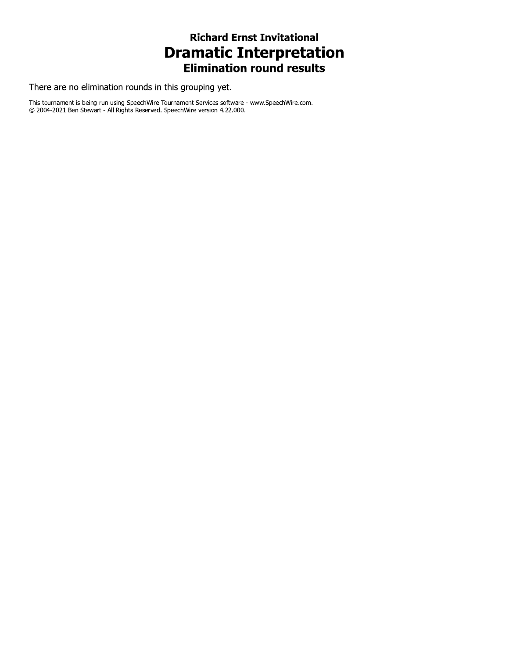### **Richard Ernst Invitational Dramatic Interpretation Elimination round results**

There are no elimination rounds in this grouping yet.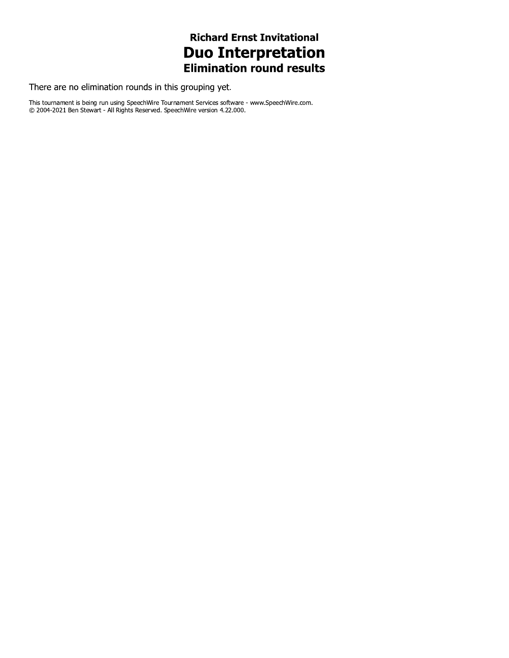### **Richard Ernst Invitational Duo Interpretation Elimination round results**

There are no elimination rounds in this grouping yet.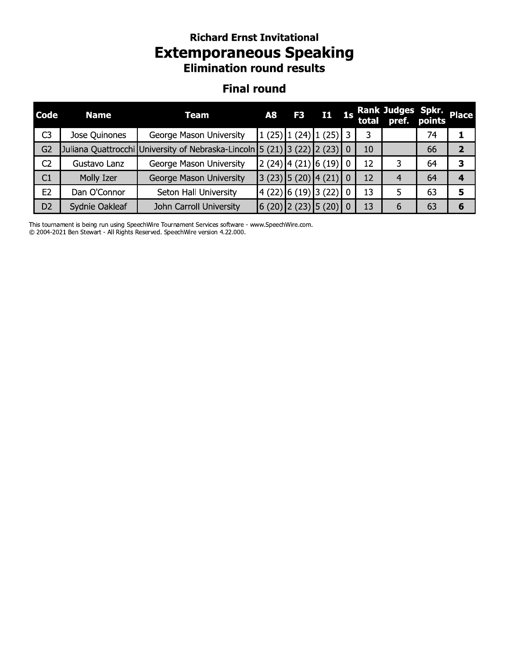# **Richard Ernst Invitational Extemporaneous Speaking**<br>Elimination round results

#### **Final round**

| <b>Code</b>    | <b>Name</b>    | <b>Team</b>                                                             | <b>A8</b> | F <sub>3</sub>                                                                    | I1 1s |          |    | Rank Judges Spkr. Place<br>total pref. points |    |   |
|----------------|----------------|-------------------------------------------------------------------------|-----------|-----------------------------------------------------------------------------------|-------|----------|----|-----------------------------------------------|----|---|
| C <sub>3</sub> | Jose Quinones  | George Mason University                                                 |           | $1(25)$ $1(24)$ $1(25)$ 3                                                         |       |          | 3  |                                               | 74 |   |
| G <sub>2</sub> |                | Juliana Quattrocchi University of Nebraska-Lincoln 5 (21) 3 (22) 2 (23) |           |                                                                                   |       | $\Omega$ | 10 |                                               | 66 |   |
| C <sub>2</sub> | Gustavo Lanz   | George Mason University                                                 |           | $\left 2\right\rangle(24)\left 4\right\rangle(21)\left 6\right\rangle(19)\right $ |       | $\Omega$ | 12 | 3                                             | 64 | З |
| C1             | Molly Izer     | George Mason University                                                 |           | $(23)$ $(5 (20) 4 (21)$                                                           |       | $\Omega$ | 12 | 4                                             | 64 |   |
| E2             | Dan O'Connor   | Seton Hall University                                                   |           | $\left  \frac{4(22)}{6(19)} \right $ (22)                                         |       | $\Omega$ | 13 | 5                                             | 63 | 5 |
| D <sub>2</sub> | Sydnie Oakleaf | John Carroll University                                                 |           | $(6(20)$ $(2(23)$ $(5(20)$                                                        |       | 0        | 13 | 6                                             | 63 | 6 |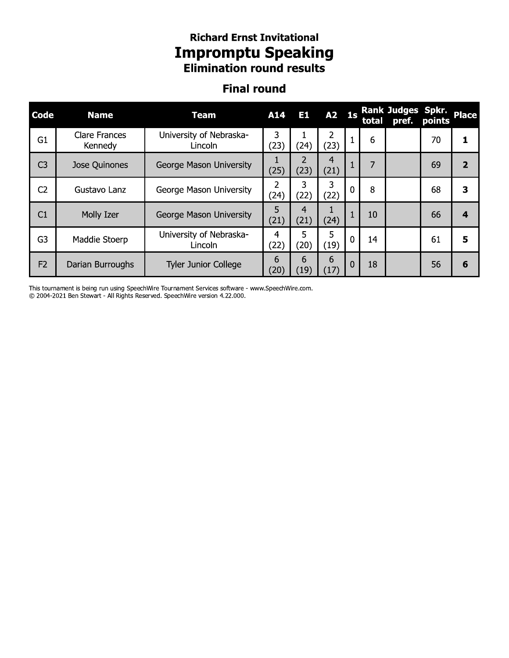### Richard Ernst Invitational **Impromptu Speaking Elimination round results**

## Finai round

| Code           | <b>Name</b>                     | <b>Team</b>                        | A14                    | <b>E1</b>              | A2 1s     |             |    | Rank Judges Spkr.<br>total pref. | points | <b>Place</b>            |
|----------------|---------------------------------|------------------------------------|------------------------|------------------------|-----------|-------------|----|----------------------------------|--------|-------------------------|
| G1             | <b>Clare Frances</b><br>Kennedy | University of Nebraska-<br>Lincoln | 3<br>(23)              | 1<br>(24)              | 2<br>(23) | 1           | 6  |                                  | 70     | 1                       |
| C <sub>3</sub> | Jose Quinones                   | George Mason University            | 1<br>(25)              | $\overline{2}$<br>(23) | 4<br>(21) | 1           | 7  |                                  | 69     | $\overline{2}$          |
| C <sub>2</sub> | Gustavo Lanz                    | George Mason University            | $\overline{2}$<br>(24) | 3<br>(22)              | 3<br>(22) | $\mathbf 0$ | 8  |                                  | 68     | 3                       |
| C1             | Molly Izer                      | George Mason University            | 5<br>(21)              | $\overline{4}$<br>(21) | 1<br>(24) | 1           | 10 |                                  | 66     | $\overline{\mathbf{4}}$ |
| G <sub>3</sub> | Maddie Stoerp                   | University of Nebraska-<br>Lincoln | 4<br>(22)              | 5<br>(20)              | 5<br>(19) | $\mathbf 0$ | 14 |                                  | 61     | 5                       |
| F <sub>2</sub> | Darian Burroughs                | <b>Tyler Junior College</b>        | 6<br>(20)              | 6<br>(19)              | 6<br>(17) | 0           | 18 |                                  | 56     | 6                       |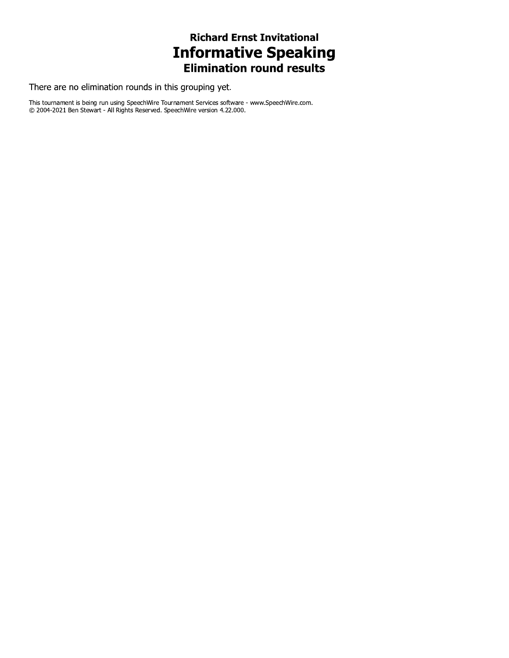## **Richard Ernst Invitational Informative Speaking**<br>Elimination round results

There are no elimination rounds in this grouping yet.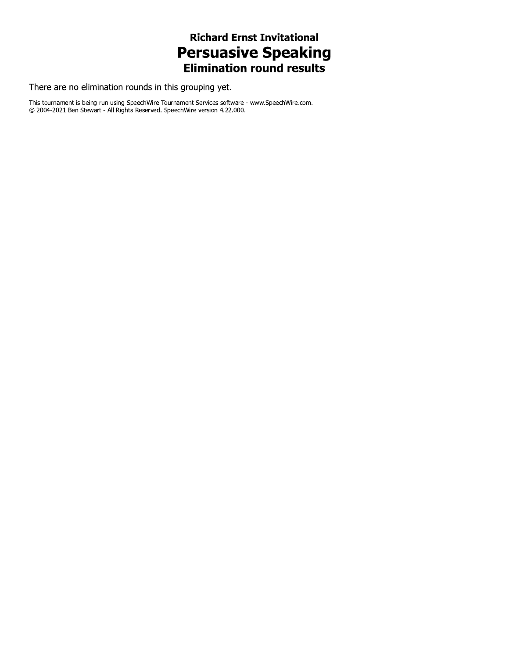## **Richard Ernst Invitational Persuasive Speaking**<br>**Elimination round results**

There are no elimination rounds in this grouping yet.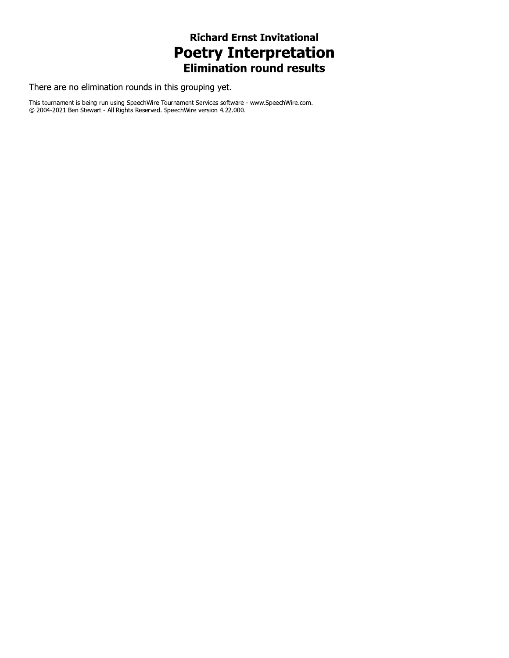### **Richard Ernst Invitational Poetry Interpretation Elimination round results**

There are no elimination rounds in this grouping yet.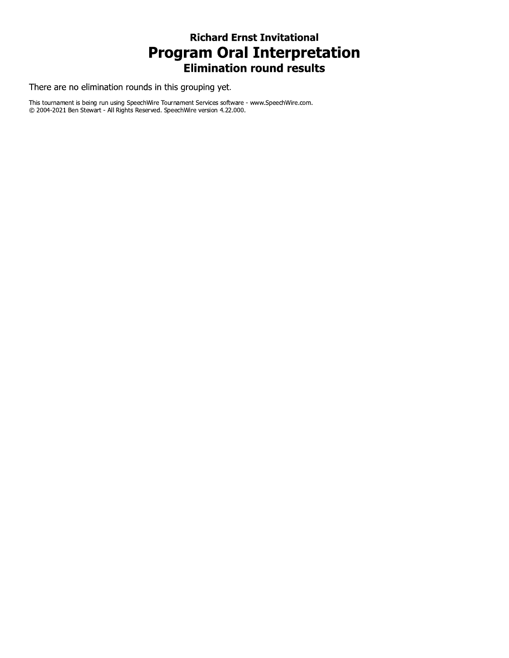### **Richard Ernst Invitational Program Oral Interpretation Elimination round results**

There are no elimination rounds in this grouping yet.